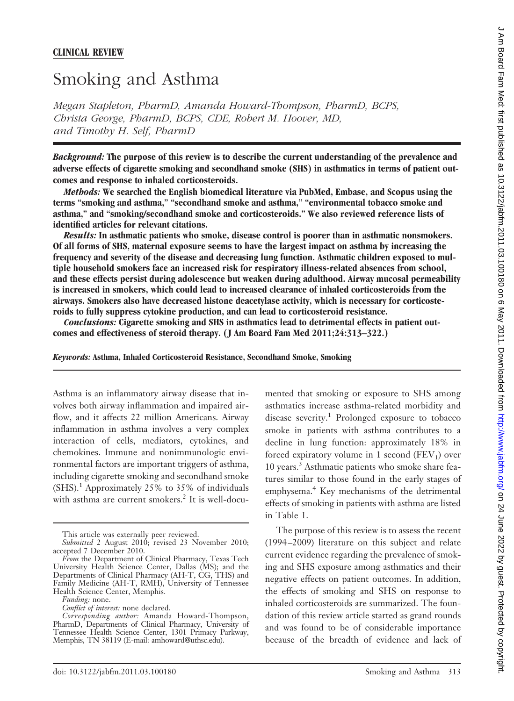# Smoking and Asthma

*Megan Stapleton, PharmD, Amanda Howard-Thompson, PharmD, BCPS, Christa George, PharmD, BCPS, CDE, Robert M. Hoover, MD, and Timothy H. Self, PharmD*

*Background:* **The purpose of this review is to describe the current understanding of the prevalence and adverse effects of cigarette smoking and secondhand smoke (SHS) in asthmatics in terms of patient outcomes and response to inhaled corticosteroids.**

*Methods:* **We searched the English biomedical literature via PubMed, Embase, and Scopus using the terms "smoking and asthma," "secondhand smoke and asthma," "environmental tobacco smoke and asthma," and "smoking/secondhand smoke and corticosteroids." We also reviewed reference lists of identified articles for relevant citations.**

*Results:* **In asthmatic patients who smoke, disease control is poorer than in asthmatic nonsmokers. Of all forms of SHS, maternal exposure seems to have the largest impact on asthma by increasing the frequency and severity of the disease and decreasing lung function. Asthmatic children exposed to multiple household smokers face an increased risk for respiratory illness-related absences from school, and these effects persist during adolescence but weaken during adulthood. Airway mucosal permeability is increased in smokers, which could lead to increased clearance of inhaled corticosteroids from the airways. Smokers also have decreased histone deacetylase activity, which is necessary for corticosteroids to fully suppress cytokine production, and can lead to corticosteroid resistance.**

*Conclusions:* **Cigarette smoking and SHS in asthmatics lead to detrimental effects in patient outcomes and effectiveness of steroid therapy. (J Am Board Fam Med 2011;24:313–322.)**

*Keywords:* **Asthma, Inhaled Corticosteroid Resistance, Secondhand Smoke, Smoking**

Asthma is an inflammatory airway disease that involves both airway inflammation and impaired airflow, and it affects 22 million Americans. Airway inflammation in asthma involves a very complex interaction of cells, mediators, cytokines, and chemokines. Immune and nonimmunologic environmental factors are important triggers of asthma, including cigarette smoking and secondhand smoke  $(SHS).<sup>1</sup>$  Approximately 25% to 35% of individuals with asthma are current smokers.<sup>2</sup> It is well-docu-

mented that smoking or exposure to SHS among asthmatics increase asthma-related morbidity and disease severity.<sup>1</sup> Prolonged exposure to tobacco smoke in patients with asthma contributes to a decline in lung function: approximately 18% in forced expiratory volume in 1 second  $(FEV_1)$  over 10 years.3 Asthmatic patients who smoke share features similar to those found in the early stages of emphysema.<sup>4</sup> Key mechanisms of the detrimental effects of smoking in patients with asthma are listed in Table 1.

The purpose of this review is to assess the recent (1994 –2009) literature on this subject and relate current evidence regarding the prevalence of smoking and SHS exposure among asthmatics and their negative effects on patient outcomes. In addition, the effects of smoking and SHS on response to inhaled corticosteroids are summarized. The foundation of this review article started as grand rounds and was found to be of considerable importance because of the breadth of evidence and lack of

This article was externally peer reviewed.

*Submitted* 2 August 2010; revised 23 November 2010; accepted 7 December 2010.

*From* the Department of Clinical Pharmacy, Texas Tech University Health Science Center, Dallas (MS); and the Departments of Clinical Pharmacy (AH-T, CG, THS) and Family Medicine (AH-T, RMH), University of Tennessee Health Science Center, Memphis.

*Funding:* none.

*Conflict of interest:* none declared.

*Corresponding author:* Amanda Howard-Thompson, PharmD, Departments of Clinical Pharmacy, University of Tennessee Health Science Center, 1301 Primacy Parkway, Memphis, TN 38119 (E-mail: amhoward@uthsc.edu).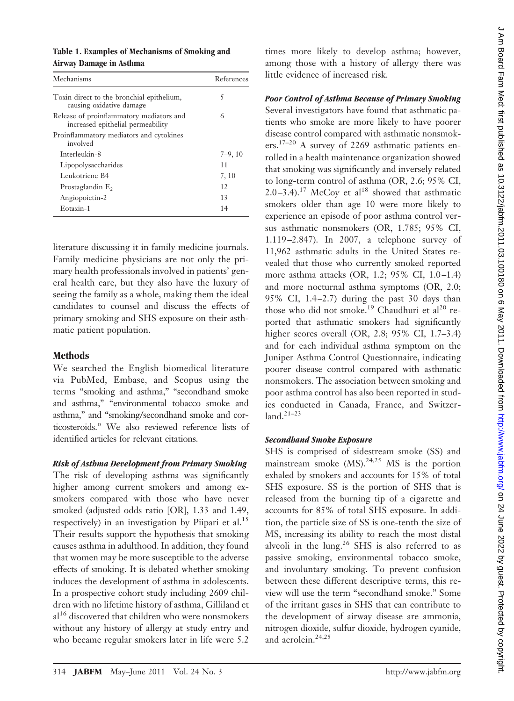#### **Table 1. Examples of Mechanisms of Smoking and Airway Damage in Asthma**

| Mechanisms                                                                    | References |
|-------------------------------------------------------------------------------|------------|
| Toxin direct to the bronchial epithelium,<br>causing oxidative damage         | 5          |
| Release of proinflammatory mediators and<br>increased epithelial permeability | 6          |
| Proinflammatory mediators and cytokines<br>involved                           |            |
| Interleukin-8                                                                 | $7-9, 10$  |
| Lipopolysaccharides                                                           | 11         |
| Leukotriene B4                                                                | 7, 10      |
| Prostaglandin E <sub>2</sub>                                                  | 12         |
| Angiopoietin-2                                                                | 13         |
| Eotaxin-1                                                                     | 14         |

literature discussing it in family medicine journals. Family medicine physicians are not only the primary health professionals involved in patients' general health care, but they also have the luxury of seeing the family as a whole, making them the ideal candidates to counsel and discuss the effects of primary smoking and SHS exposure on their asthmatic patient population.

# **Methods**

We searched the English biomedical literature via PubMed, Embase, and Scopus using the terms "smoking and asthma," "secondhand smoke and asthma," "environmental tobacco smoke and asthma," and "smoking/secondhand smoke and corticosteroids." We also reviewed reference lists of identified articles for relevant citations.

## *Risk of Asthma Development from Primary Smoking*

The risk of developing asthma was significantly higher among current smokers and among exsmokers compared with those who have never smoked (adjusted odds ratio [OR], 1.33 and 1.49, respectively) in an investigation by Piipari et al.<sup>15</sup> Their results support the hypothesis that smoking causes asthma in adulthood. In addition, they found that women may be more susceptible to the adverse effects of smoking. It is debated whether smoking induces the development of asthma in adolescents. In a prospective cohort study including 2609 children with no lifetime history of asthma, Gilliland et al<sup>16</sup> discovered that children who were nonsmokers without any history of allergy at study entry and who became regular smokers later in life were 5.2

times more likely to develop asthma; however, among those with a history of allergy there was little evidence of increased risk.

# *Poor Control of Asthma Because of Primary Smoking*

Several investigators have found that asthmatic patients who smoke are more likely to have poorer disease control compared with asthmatic nonsmokers.17–20 A survey of 2269 asthmatic patients enrolled in a health maintenance organization showed that smoking was significantly and inversely related to long-term control of asthma (OR, 2.6; 95% CI, 2.0-3.4).<sup>17</sup> McCoy et al<sup>18</sup> showed that asthmatic smokers older than age 10 were more likely to experience an episode of poor asthma control versus asthmatic nonsmokers (OR, 1.785; 95% CI, 1.119 –2.847). In 2007, a telephone survey of 11,962 asthmatic adults in the United States revealed that those who currently smoked reported more asthma attacks (OR, 1.2; 95% CI, 1.0-1.4) and more nocturnal asthma symptoms (OR, 2.0; 95% CI,  $1.4-2.7$ ) during the past 30 days than those who did not smoke.<sup>19</sup> Chaudhuri et al<sup>20</sup> reported that asthmatic smokers had significantly higher scores overall (OR, 2.8; 95% CI, 1.7–3.4) and for each individual asthma symptom on the Juniper Asthma Control Questionnaire, indicating poorer disease control compared with asthmatic nonsmokers. The association between smoking and poor asthma control has also been reported in studies conducted in Canada, France, and Switzer $land.<sup>21–23</sup>$ 

## *Secondhand Smoke Exposure*

SHS is comprised of sidestream smoke (SS) and mainstream smoke  $(MS)$ .<sup>24,25</sup> MS is the portion exhaled by smokers and accounts for 15% of total SHS exposure. SS is the portion of SHS that is released from the burning tip of a cigarette and accounts for 85% of total SHS exposure. In addition, the particle size of SS is one-tenth the size of MS, increasing its ability to reach the most distal alveoli in the lung.<sup>26</sup> SHS is also referred to as passive smoking, environmental tobacco smoke, and involuntary smoking. To prevent confusion between these different descriptive terms, this review will use the term "secondhand smoke." Some of the irritant gases in SHS that can contribute to the development of airway disease are ammonia, nitrogen dioxide, sulfur dioxide, hydrogen cyanide, and acrolein.<sup>24,25</sup>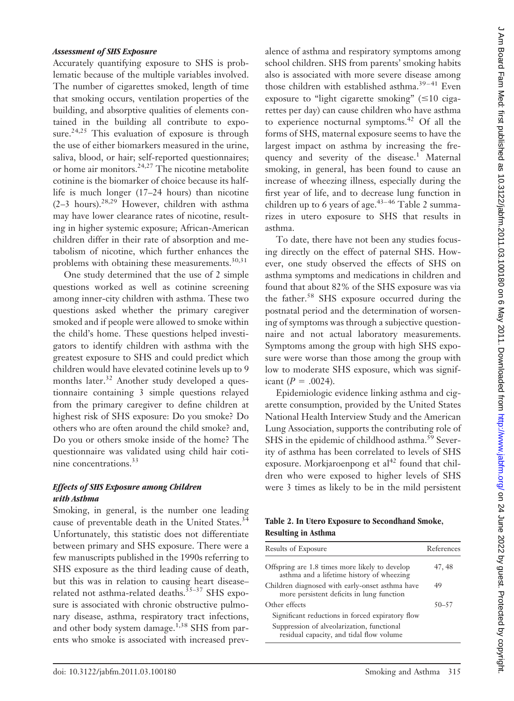#### *Assessment of SHS Exposure*

Accurately quantifying exposure to SHS is problematic because of the multiple variables involved. The number of cigarettes smoked, length of time that smoking occurs, ventilation properties of the building, and absorptive qualities of elements contained in the building all contribute to exposure.<sup>24,25</sup> This evaluation of exposure is through the use of either biomarkers measured in the urine, saliva, blood, or hair; self-reported questionnaires; or home air monitors. $24,27$  The nicotine metabolite cotinine is the biomarker of choice because its halflife is much longer (17–24 hours) than nicotine  $(2-3$  hours).<sup>28,29</sup> However, children with asthma may have lower clearance rates of nicotine, resulting in higher systemic exposure; African-American children differ in their rate of absorption and metabolism of nicotine, which further enhances the problems with obtaining these measurements.<sup>30,31</sup>

One study determined that the use of 2 simple questions worked as well as cotinine screening among inner-city children with asthma. These two questions asked whether the primary caregiver smoked and if people were allowed to smoke within the child's home. These questions helped investigators to identify children with asthma with the greatest exposure to SHS and could predict which children would have elevated cotinine levels up to 9 months later.<sup>32</sup> Another study developed a questionnaire containing 3 simple questions relayed from the primary caregiver to define children at highest risk of SHS exposure: Do you smoke? Do others who are often around the child smoke? and, Do you or others smoke inside of the home? The questionnaire was validated using child hair cotinine concentrations.<sup>33</sup>

#### *Effects of SHS Exposure among Children with Asthma*

Smoking, in general, is the number one leading cause of preventable death in the United States.<sup>34</sup> Unfortunately, this statistic does not differentiate between primary and SHS exposure. There were a few manuscripts published in the 1990s referring to SHS exposure as the third leading cause of death, but this was in relation to causing heart disease– related not asthma-related deaths.<sup>35-37</sup> SHS exposure is associated with chronic obstructive pulmonary disease, asthma, respiratory tract infections, and other body system damage.<sup>1,38</sup> SHS from parents who smoke is associated with increased prevalence of asthma and respiratory symptoms among school children. SHS from parents' smoking habits also is associated with more severe disease among those children with established asthma. $39-41$  Even exposure to "light cigarette smoking"  $(\leq 10 \text{ ciga}$ rettes per day) can cause children who have asthma to experience nocturnal symptoms.<sup>42</sup> Of all the forms of SHS, maternal exposure seems to have the largest impact on asthma by increasing the frequency and severity of the disease.<sup>1</sup> Maternal smoking, in general, has been found to cause an increase of wheezing illness, especially during the first year of life, and to decrease lung function in children up to 6 years of age. $43-46$  Table 2 summarizes in utero exposure to SHS that results in asthma.

To date, there have not been any studies focusing directly on the effect of paternal SHS. However, one study observed the effects of SHS on asthma symptoms and medications in children and found that about 82% of the SHS exposure was via the father.<sup>58</sup> SHS exposure occurred during the postnatal period and the determination of worsening of symptoms was through a subjective questionnaire and not actual laboratory measurements. Symptoms among the group with high SHS exposure were worse than those among the group with low to moderate SHS exposure, which was significant ( $P = .0024$ ).

Epidemiologic evidence linking asthma and cigarette consumption, provided by the United States National Health Interview Study and the American Lung Association, supports the contributing role of SHS in the epidemic of childhood asthma.<sup>59</sup> Severity of asthma has been correlated to levels of SHS exposure. Morkjaroenpong et  $al<sup>42</sup>$  found that children who were exposed to higher levels of SHS were 3 times as likely to be in the mild persistent

#### **Table 2. In Utero Exposure to Secondhand Smoke, Resulting in Asthma**

| <b>Results of Exposure</b>                                                                   | References |
|----------------------------------------------------------------------------------------------|------------|
| Offspring are 1.8 times more likely to develop<br>asthma and a lifetime history of wheezing  | 47, 48     |
| Children diagnosed with early-onset asthma have<br>more persistent deficits in lung function | 49         |
| Other effects                                                                                | $50 - 57$  |
| Significant reductions in forced expiratory flow                                             |            |
| Suppression of alveolarization, functional<br>residual capacity, and tidal flow volume       |            |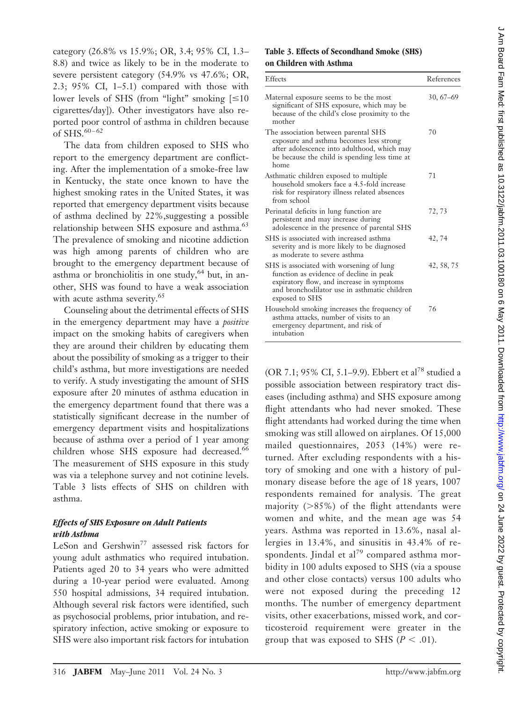category (26.8% vs 15.9%; OR, 3.4; 95% CI, 1.3– 8.8) and twice as likely to be in the moderate to severe persistent category (54.9% vs 47.6%; OR, 2.3; 95% CI, 1–5.1) compared with those with lower levels of SHS (from "light" smoking  $[ \leq 10$ cigarettes/day]). Other investigators have also reported poor control of asthma in children because of SHS.<sup>60-62</sup>

The data from children exposed to SHS who report to the emergency department are conflicting. After the implementation of a smoke-free law in Kentucky, the state once known to have the highest smoking rates in the United States, it was reported that emergency department visits because of asthma declined by 22%,suggesting a possible relationship between SHS exposure and asthma.<sup>63</sup> The prevalence of smoking and nicotine addiction was high among parents of children who are brought to the emergency department because of asthma or bronchiolitis in one study,<sup>64</sup> but, in another, SHS was found to have a weak association with acute asthma severity.<sup>65</sup>

Counseling about the detrimental effects of SHS in the emergency department may have a *positive* impact on the smoking habits of caregivers when they are around their children by educating them about the possibility of smoking as a trigger to their child's asthma, but more investigations are needed to verify. A study investigating the amount of SHS exposure after 20 minutes of asthma education in the emergency department found that there was a statistically significant decrease in the number of emergency department visits and hospitalizations because of asthma over a period of 1 year among children whose SHS exposure had decreased.<sup>66</sup> The measurement of SHS exposure in this study was via a telephone survey and not cotinine levels. Table 3 lists effects of SHS on children with asthma.

# *Effects of SHS Exposure on Adult Patients with Asthma*

LeSon and Gershwin<sup>77</sup> assessed risk factors for young adult asthmatics who required intubation. Patients aged 20 to 34 years who were admitted during a 10-year period were evaluated. Among 550 hospital admissions, 34 required intubation. Although several risk factors were identified, such as psychosocial problems, prior intubation, and respiratory infection, active smoking or exposure to SHS were also important risk factors for intubation

## **Table 3. Effects of Secondhand Smoke (SHS) on Children with Asthma**

| Effects                                                                                                                                                                                            | References |
|----------------------------------------------------------------------------------------------------------------------------------------------------------------------------------------------------|------------|
| Maternal exposure seems to be the most<br>significant of SHS exposure, which may be<br>because of the child's close proximity to the<br>mother                                                     | $30,67-69$ |
| The association between parental SHS<br>exposure and asthma becomes less strong<br>after adolescence into adulthood, which may<br>be because the child is spending less time at<br>home            | 70         |
| Asthmatic children exposed to multiple<br>household smokers face a 4.5-fold increase<br>risk for respiratory illness related absences<br>from school                                               | 71         |
| Perinatal deficits in lung function are<br>persistent and may increase during<br>adolescence in the presence of parental SHS                                                                       | 72, 73     |
| SHS is associated with increased asthma<br>severity and is more likely to be diagnosed<br>as moderate to severe asthma                                                                             | 42, 74     |
| SHS is associated with worsening of lung<br>function as evidence of decline in peak<br>expiratory flow, and increase in symptoms<br>and bronchodilator use in asthmatic children<br>exposed to SHS | 42, 58, 75 |
| Household smoking increases the frequency of<br>asthma attacks, number of visits to an<br>emergency department, and risk of<br>intubation                                                          | 76         |

(OR 7.1; 95% CI, 5.1–9.9). Ebbert et al<sup>78</sup> studied a possible association between respiratory tract diseases (including asthma) and SHS exposure among flight attendants who had never smoked. These flight attendants had worked during the time when smoking was still allowed on airplanes. Of 15,000 mailed questionnaires, 2053 (14%) were returned. After excluding respondents with a history of smoking and one with a history of pulmonary disease before the age of 18 years, 1007 respondents remained for analysis. The great majority (-85%) of the flight attendants were women and white, and the mean age was 54 years. Asthma was reported in 13.6%, nasal allergies in 13.4%, and sinusitis in 43.4% of respondents. Jindal et al<sup>79</sup> compared asthma morbidity in 100 adults exposed to SHS (via a spouse and other close contacts) versus 100 adults who were not exposed during the preceding 12 months. The number of emergency department visits, other exacerbations, missed work, and corticosteroid requirement were greater in the group that was exposed to SHS ( $P < .01$ ).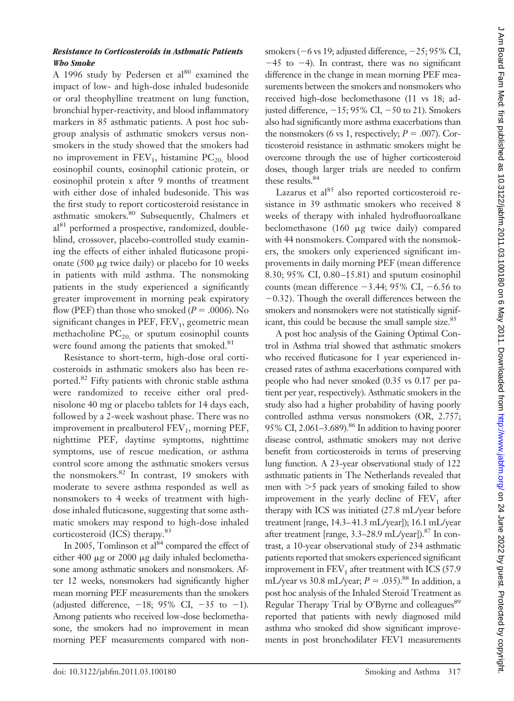## *Resistance to Corticosteroids in Asthmatic Patients Who Smoke*

A 1996 study by Pedersen et  $al^{80}$  examined the impact of low- and high-dose inhaled budesonide or oral theophylline treatment on lung function, bronchial hyper-reactivity, and blood inflammatory markers in 85 asthmatic patients. A post hoc subgroup analysis of asthmatic smokers versus nonsmokers in the study showed that the smokers had no improvement in  $FEV_1$ , histamine  $PC_{20}$  blood eosinophil counts, eosinophil cationic protein, or eosinophil protein x after 9 months of treatment with either dose of inhaled budesonide. This was the first study to report corticosteroid resistance in asthmatic smokers.<sup>80</sup> Subsequently, Chalmers et al<sup>81</sup> performed a prospective, randomized, doubleblind, crossover, placebo-controlled study examining the effects of either inhaled fluticasone propionate (500  $\mu$ g twice daily) or placebo for 10 weeks in patients with mild asthma. The nonsmoking patients in the study experienced a significantly greater improvement in morning peak expiratory flow (PEF) than those who smoked ( $P = .0006$ ). No significant changes in PEF,  $FEV<sub>1</sub>$ , geometric mean methacholine  $PC_{20}$  or sputum eosinophil counts were found among the patients that smoked.<sup>81</sup>

Resistance to short-term, high-dose oral corticosteroids in asthmatic smokers also has been reported.<sup>82</sup> Fifty patients with chronic stable asthma were randomized to receive either oral prednisolone 40 mg or placebo tablets for 14 days each, followed by a 2-week washout phase. There was no improvement in prealbuterol  $FEV<sub>1</sub>$ , morning  $PEF$ , nighttime PEF, daytime symptoms, nighttime symptoms, use of rescue medication, or asthma control score among the asthmatic smokers versus the nonsmokers.<sup>82</sup> In contrast, 19 smokers with moderate to severe asthma responded as well as nonsmokers to 4 weeks of treatment with highdose inhaled fluticasone, suggesting that some asthmatic smokers may respond to high-dose inhaled corticosteroid (ICS) therapy.<sup>83</sup>

In 2005, Tomlinson et al<sup>84</sup> compared the effect of either 400  $\mu$ g or 2000  $\mu$ g daily inhaled beclomethasone among asthmatic smokers and nonsmokers. After 12 weeks, nonsmokers had significantly higher mean morning PEF measurements than the smokers (adjusted difference,  $-18$ ; 95% CI,  $-35$  to  $-1$ ). Among patients who received low-dose beclomethasone, the smokers had no improvement in mean morning PEF measurements compared with non-

smokers ( $-6$  vs 19; adjusted difference,  $-25$ ; 95% CI,  $-45$  to  $-4$ ). In contrast, there was no significant difference in the change in mean morning PEF measurements between the smokers and nonsmokers who received high-dose beclomethasone (11 vs 18; adjusted difference,  $-15$ ; 95% CI,  $-50$  to 21). Smokers also had significantly more asthma exacerbations than the nonsmokers (6 vs 1, respectively;  $P = .007$ ). Corticosteroid resistance in asthmatic smokers might be overcome through the use of higher corticosteroid doses, though larger trials are needed to confirm these results.<sup>84</sup>

Lazarus et al $^{85}$  also reported corticosteroid resistance in 39 asthmatic smokers who received 8 weeks of therapy with inhaled hydrofluoroalkane beclomethasone  $(160 \mu g$  twice daily) compared with 44 nonsmokers. Compared with the nonsmokers, the smokers only experienced significant improvements in daily morning PEF (mean difference 8.30; 95% CI, 0.80 –15.81) and sputum eosinophil counts (mean difference  $-3.44$ ; 95% CI,  $-6.56$  to  $-0.32$ ). Though the overall differences between the smokers and nonsmokers were not statistically significant, this could be because the small sample size.<sup>85</sup>

A post hoc analysis of the Gaining Optimal Control in Asthma trial showed that asthmatic smokers who received fluticasone for 1 year experienced increased rates of asthma exacerbations compared with people who had never smoked (0.35 vs 0.17 per patient per year, respectively). Asthmatic smokers in the study also had a higher probability of having poorly controlled asthma versus nonsmokers (OR, 2.757; 95% CI, 2.061–3.689).<sup>86</sup> In addition to having poorer disease control, asthmatic smokers may not derive benefit from corticosteroids in terms of preserving lung function. A 23-year observational study of 122 asthmatic patients in The Netherlands revealed that men with -5 pack years of smoking failed to show improvement in the yearly decline of  $FEV<sub>1</sub>$  after therapy with ICS was initiated (27.8 mL/year before treatment [range, 14.3–41.3 mL/year]); 16.1 mL/year after treatment [range,  $3.3-28.9$  mL/year]).<sup>87</sup> In contrast, a 10-year observational study of 234 asthmatic patients reported that smokers experienced significant improvement in  $FEV<sub>1</sub>$  after treatment with ICS (57.9) mL/year vs 30.8 mL/year;  $P = .035$ ).<sup>88</sup> In addition, a post hoc analysis of the Inhaled Steroid Treatment as Regular Therapy Trial by O'Byrne and colleagues<sup>89</sup> reported that patients with newly diagnosed mild asthma who smoked did show significant improvements in post bronchodilater FEV1 measurements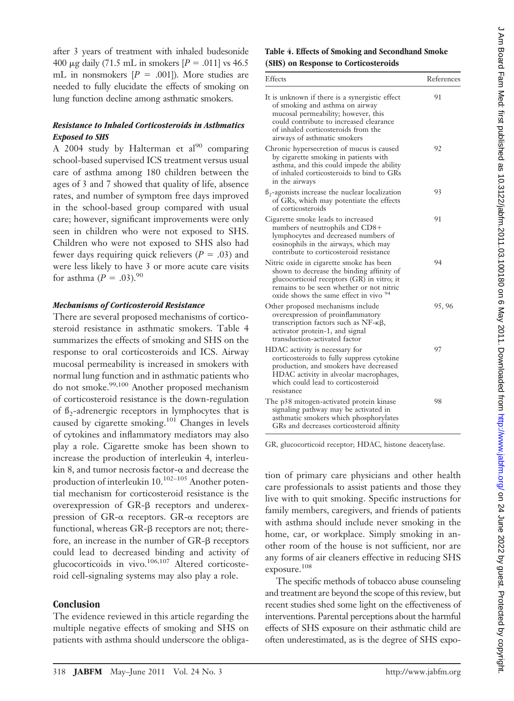after 3 years of treatment with inhaled budesonide 400  $\mu$ g daily (71.5 mL in smokers [ $P = .011$ ] vs 46.5 mL in nonsmokers  $[P = .001]$ ). More studies are needed to fully elucidate the effects of smoking on lung function decline among asthmatic smokers.

## *Resistance to Inhaled Corticosteroids in Asthmatics Exposed to SHS*

A 2004 study by Halterman et al<sup>90</sup> comparing school-based supervised ICS treatment versus usual care of asthma among 180 children between the ages of 3 and 7 showed that quality of life, absence rates, and number of symptom free days improved in the school-based group compared with usual care; however, significant improvements were only seen in children who were not exposed to SHS. Children who were not exposed to SHS also had fewer days requiring quick relievers  $(P = .03)$  and were less likely to have 3 or more acute care visits for asthma (*P* = .03).<sup>90</sup>

#### *Mechanisms of Corticosteroid Resistance*

There are several proposed mechanisms of corticosteroid resistance in asthmatic smokers. Table 4 summarizes the effects of smoking and SHS on the response to oral corticosteroids and ICS. Airway mucosal permeability is increased in smokers with normal lung function and in asthmatic patients who do not smoke.<sup>99,100</sup> Another proposed mechanism of corticosteroid resistance is the down-regulation of  $\beta_2$ -adrenergic receptors in lymphocytes that is caused by cigarette smoking.<sup>101</sup> Changes in levels of cytokines and inflammatory mediators may also play a role. Cigarette smoke has been shown to increase the production of interleukin 4, interleukin 8, and tumor necrosis factor- $\alpha$  and decrease the production of interleukin  $10.^{102-105}$  Another potential mechanism for corticosteroid resistance is the overexpression of  $GR-\beta$  receptors and underexpression of GR- $\alpha$  receptors. GR- $\alpha$  receptors are functional, whereas  $GR-\beta$  receptors are not; therefore, an increase in the number of  $GR-\beta$  receptors could lead to decreased binding and activity of glucocorticoids in vivo.<sup>106,107</sup> Altered corticosteroid cell-signaling systems may also play a role.

#### **Conclusion**

The evidence reviewed in this article regarding the multiple negative effects of smoking and SHS on patients with asthma should underscore the obliga-

#### **Table 4. Effects of Smoking and Secondhand Smoke (SHS) on Response to Corticosteroids**

| Effects                                                                                                                                                                                                                                    | References |
|--------------------------------------------------------------------------------------------------------------------------------------------------------------------------------------------------------------------------------------------|------------|
| It is unknown if there is a synergistic effect<br>of smoking and asthma on airway<br>mucosal permeability; however, this<br>could contribute to increased clearance<br>of inhaled corticosteroids from the<br>airways of asthmatic smokers | 91         |
| Chronic hypersecretion of mucus is caused<br>by cigarette smoking in patients with<br>asthma, and this could impede the ability<br>of inhaled corticosteroids to bind to GRs<br>in the airways                                             | 92         |
| $\beta_2$ -agonists increase the nuclear localization<br>of GRs, which may potentiate the effects<br>of corticosteroids                                                                                                                    | 93         |
| Cigarette smoke leads to increased<br>numbers of neutrophils and CD8+<br>lymphocytes and decreased numbers of<br>eosinophils in the airways, which may<br>contribute to corticosteroid resistance                                          | 91         |
| Nitric oxide in cigarette smoke has been<br>shown to decrease the binding affinity of<br>glucocorticoid receptors (GR) in vitro; it<br>remains to be seen whether or not nitric<br>oxide shows the same effect in vivo 94                  | 94         |
| Other proposed mechanisms include<br>overexpression of proinflammatory<br>transcription factors such as $NF - \kappa\beta$ ,<br>activator protein-1, and signal<br>transduction-activated factor                                           | 95,96      |
| HDAC activity is necessary for<br>corticosteroids to fully suppress cytokine<br>production, and smokers have decreased<br>HDAC activity in alveolar macrophages,<br>which could lead to corticosteroid<br>resistance                       | 97         |
| The p38 mitogen-activated protein kinase<br>signaling pathway may be activated in<br>asthmatic smokers which phosphorylates<br>GRs and decreases corticosteroid affinity                                                                   | 98         |

GR, glucocorticoid receptor; HDAC, histone deacetylase.

tion of primary care physicians and other health care professionals to assist patients and those they live with to quit smoking. Specific instructions for family members, caregivers, and friends of patients with asthma should include never smoking in the home, car, or workplace. Simply smoking in another room of the house is not sufficient, nor are any forms of air cleaners effective in reducing SHS exposure.<sup>108</sup>

The specific methods of tobacco abuse counseling and treatment are beyond the scope of this review, but recent studies shed some light on the effectiveness of interventions. Parental perceptions about the harmful effects of SHS exposure on their asthmatic child are often underestimated, as is the degree of SHS expo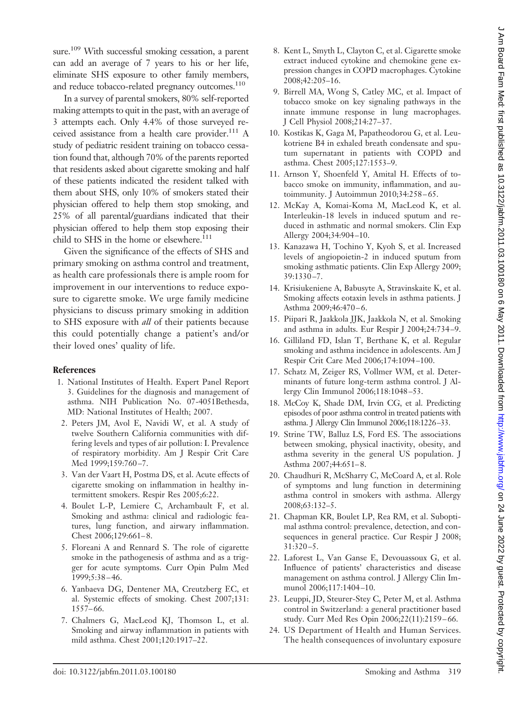sure.<sup>109</sup> With successful smoking cessation, a parent can add an average of 7 years to his or her life, eliminate SHS exposure to other family members, and reduce tobacco-related pregnancy outcomes.<sup>110</sup>

In a survey of parental smokers, 80% self-reported making attempts to quit in the past, with an average of 3 attempts each. Only 4.4% of those surveyed received assistance from a health care provider. $^{111}$  A study of pediatric resident training on tobacco cessation found that, although 70% of the parents reported that residents asked about cigarette smoking and half of these patients indicated the resident talked with them about SHS, only 10% of smokers stated their physician offered to help them stop smoking, and 25% of all parental/guardians indicated that their physician offered to help them stop exposing their child to SHS in the home or elsewhere. $111$ 

Given the significance of the effects of SHS and primary smoking on asthma control and treatment, as health care professionals there is ample room for improvement in our interventions to reduce exposure to cigarette smoke. We urge family medicine physicians to discuss primary smoking in addition to SHS exposure with *all* of their patients because this could potentially change a patient's and/or their loved ones' quality of life.

#### **References**

- 1. National Institutes of Health. Expert Panel Report 3. Guidelines for the diagnosis and management of asthma. NIH Publication No. 07-4051Bethesda, MD: National Institutes of Health; 2007.
- 2. Peters JM, Avol E, Navidi W, et al. A study of twelve Southern California communities with differing levels and types of air pollution: I. Prevalence of respiratory morbidity. Am J Respir Crit Care Med 1999;159:760-7.
- 3. Van der Vaart H, Postma DS, et al. Acute effects of cigarette smoking on inflammation in healthy intermittent smokers. Respir Res 2005;6:22.
- 4. Boulet L-P, Lemiere C, Archambault F, et al. Smoking and asthma: clinical and radiologic features, lung function, and airwary inflammation. Chest 2006;129:661– 8.
- 5. Floreani A and Rennard S. The role of cigarette smoke in the pathogenesis of asthma and as a trigger for acute symptoms. Curr Opin Pulm Med 1999;5:38 – 46.
- 6. Yanbaeva DG, Dentener MA, Creutzberg EC, et al. Systemic effects of smoking. Chest 2007;131: 1557– 66.
- 7. Chalmers G, MacLeod KJ, Thomson L, et al. Smoking and airway inflammation in patients with mild asthma. Chest 2001;120:1917–22.
- 8. Kent L, Smyth L, Clayton C, et al. Cigarette smoke extract induced cytokine and chemokine gene expression changes in COPD macrophages. Cytokine 2008;42:205–16.
- 9. Birrell MA, Wong S, Catley MC, et al. Impact of tobacco smoke on key signaling pathways in the innate immune response in lung macrophages. J Cell Physiol 2008;214:27–37.
- 10. Kostikas K, Gaga M, Papatheodorou G, et al. Leukotriene B4 in exhaled breath condensate and sputum supernatant in patients with COPD and asthma. Chest 2005;127:1553–9.
- 11. Arnson Y, Shoenfeld Y, Amital H. Effects of tobacco smoke on immunity, inflammation, and autoimmunity. J Autoimmun 2010;34:258-65.
- 12. McKay A, Komai-Koma M, MacLeod K, et al. Interleukin-18 levels in induced sputum and reduced in asthmatic and normal smokers. Clin Exp Allergy 2004;34:904 –10.
- 13. Kanazawa H, Tochino Y, Kyoh S, et al. Increased levels of angiopoietin-2 in induced sputum from smoking asthmatic patients. Clin Exp Allergy 2009; 39:1330 –7.
- 14. Krisiukeniene A, Babusyte A, Stravinskaite K, et al. Smoking affects eotaxin levels in asthma patients. J Asthma 2009;46:470-6.
- 15. Piipari R, Jaakkola JJK, Jaakkola N, et al. Smoking and asthma in adults. Eur Respir J 2004;24:734 –9.
- 16. Gilliland FD, Islan T, Berthane K, et al. Regular smoking and asthma incidence in adolescents. Am J Respir Crit Care Med 2006;174:1094 –100.
- 17. Schatz M, Zeiger RS, Vollmer WM, et al. Determinants of future long-term asthma control. J Allergy Clin Immunol 2006;118:1048 –53.
- 18. McCoy K, Shade DM, Irvin CG, et al. Predicting episodes of poor asthma control in treated patients with asthma. J Allergy Clin Immunol 2006;118:1226–33.
- 19. Strine TW, Balluz LS, Ford ES. The associations between smoking, physical inactivity, obesity, and asthma severity in the general US population. J Asthma 2007;44:651– 8.
- 20. Chaudhuri R, McSharry C, McCoard A, et al. Role of symptoms and lung function in determining asthma control in smokers with asthma. Allergy 2008;63:132–5.
- 21. Chapman KR, Boulet LP, Rea RM, et al. Suboptimal asthma control: prevalence, detection, and consequences in general practice. Cur Respir J 2008; 31:320 –5.
- 22. Laforest L, Van Ganse E, Devouassoux G, et al. Influence of patients' characteristics and disease management on asthma control. J Allergy Clin Immunol 2006;117:1404 –10.
- 23. Leuppi, JD, Steurer-Stey C, Peter M, et al. Asthma control in Switzerland: a general practitioner based study. Curr Med Res Opin 2006;22(11):2159 – 66.
- 24. US Department of Health and Human Services. The health consequences of involuntary exposure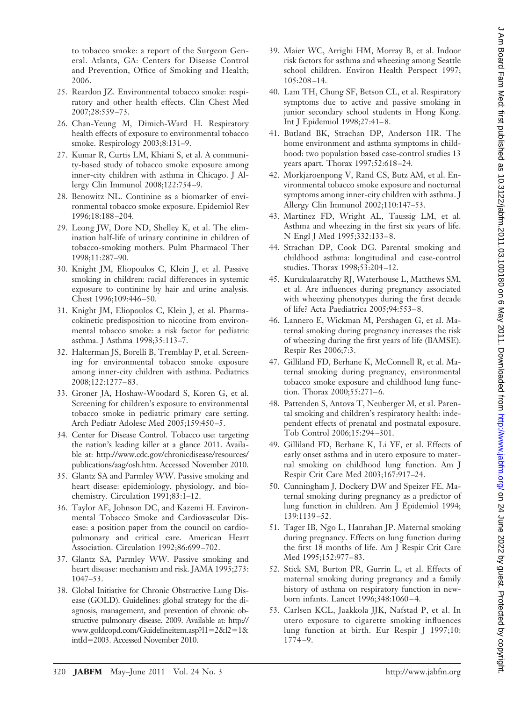to tobacco smoke: a report of the Surgeon General. Atlanta, GA: Centers for Disease Control and Prevention, Office of Smoking and Health; 2006.

- 25. Reardon JZ. Environmental tobacco smoke: respiratory and other health effects. Clin Chest Med 2007;28:559 –73.
- 26. Chan-Yeung M, Dimich-Ward H. Respiratory health effects of exposure to environmental tobacco smoke. Respirology 2003;8:131–9.
- 27. Kumar R, Curtis LM, Khiani S, et al. A community-based study of tobacco smoke exposure among inner-city children with asthma in Chicago. J Allergy Clin Immunol 2008;122:754 –9.
- 28. Benowitz NL. Continine as a biomarker of environmental tobacco smoke exposure. Epidemiol Rev 1996;18:188 –204.
- 29. Leong JW, Dore ND, Shelley K, et al. The elimination half-life of urinary continine in children of tobacco-smoking mothers. Pulm Pharmacol Ther 1998;11:287–90.
- 30. Knight JM, Eliopoulos C, Klein J, et al. Passive smoking in children: racial differences in systemic exposure to continine by hair and urine analysis. Chest 1996;109:446 –50.
- 31. Knight JM, Eliopoulos C, Klein J, et al. Pharmacokinetic predisposition to nicotine from environmental tobacco smoke: a risk factor for pediatric asthma. J Asthma 1998;35:113–7.
- 32. Halterman JS, Borelli B, Tremblay P, et al. Screening for environmental tobacco smoke exposure among inner-city children with asthma. Pediatrics 2008;122:1277– 83.
- 33. Groner JA, Hoshaw-Woodard S, Koren G, et al. Screening for children's exposure to environmental tobacco smoke in pediatric primary care setting. Arch Pediatr Adolesc Med 2005;159:450 –5.
- 34. Center for Disease Control. Tobacco use: targeting the nation's leading killer at a glance 2011. Available at: http://www.cdc.gov/chronicdisease/resources/ publications/aag/osh.htm. Accessed November 2010.
- 35. Glantz SA and Parmley WW. Passive smoking and heart disease: epidemiology, physiology, and biochemistry. Circulation 1991;83:1–12.
- 36. Taylor AE, Johnson DC, and Kazemi H. Environmental Tobacco Smoke and Cardiovascular Disease: a position paper from the council on cardiopulmonary and critical care. American Heart Association. Circulation 1992;86:699 –702.
- 37. Glantz SA, Parmley WW. Passive smoking and heart disease: mechanism and risk. JAMA 1995;273: 1047–53.
- 38. Global Initiative for Chronic Obstructive Lung Disease (GOLD). Guidelines: global strategy for the diagnosis, management, and prevention of chronic obstructive pulmonary disease. 2009. Available at: http:// www.goldcopd.com/Guidelineitem.asp?l1=2&l2=1& intId=2003. Accessed November 2010.
- 39. Maier WC, Arrighi HM, Morray B, et al. Indoor risk factors for asthma and wheezing among Seattle school children. Environ Health Perspect 1997; 105:208 –14.
- 40. Lam TH, Chung SF, Betson CL, et al. Respiratory symptoms due to active and passive smoking in junior secondary school students in Hong Kong. Int J Epidemiol 1998;27:41– 8.
- 41. Butland BK, Strachan DP, Anderson HR. The home environment and asthma symptoms in childhood: two population based case-control studies 13 years apart. Thorax 1997;52:618 –24.
- 42. Morkjaroenpong V, Rand CS, Butz AM, et al. Environmental tobacco smoke exposure and nocturnal symptoms among inner-city children with asthma. J Allergy Clin Immunol 2002;110:147–53.
- 43. Martinez FD, Wright AL, Taussig LM, et al. Asthma and wheezing in the first six years of life. N Engl J Med 1995;332:133– 8.
- 44. Strachan DP, Cook DG. Parental smoking and childhood asthma: longitudinal and case-control studies. Thorax 1998;53:204 –12.
- 45. Kurukulaaratchy RJ, Waterhouse L, Matthews SM, et al. Are influences during pregnancy associated with wheezing phenotypes during the first decade of life? Acta Paediatrica 2005;94:553– 8.
- 46. Lannero E, Wickman M, Pershagen G, et al. Maternal smoking during pregnancy increases the risk of wheezing during the first years of life (BAMSE). Respir Res 2006;7:3.
- 47. Gilliland FD, Berhane K, McConnell R, et al. Maternal smoking during pregnancy, environmental tobacco smoke exposure and childhood lung function. Thorax 2000;55:271-6.
- 48. Pattenden S, Antova T, Neuberger M, et al. Parental smoking and children's respiratory health: independent effects of prenatal and postnatal exposure. Tob Control 2006;15:294 –301.
- 49. Gilliland FD, Berhane K, Li YF, et al. Effects of early onset asthma and in utero exposure to maternal smoking on childhood lung function. Am J Respir Crit Care Med 2003;167:917–24.
- 50. Cunningham J, Dockery DW and Speizer FE. Maternal smoking during pregnancy as a predictor of lung function in children. Am J Epidemiol 1994; 139:1139 –52.
- 51. Tager IB, Ngo L, Hanrahan JP. Maternal smoking during pregnancy. Effects on lung function during the first 18 months of life. Am J Respir Crit Care Med 1995;152:977-83.
- 52. Stick SM, Burton PR, Gurrin L, et al. Effects of maternal smoking during pregnancy and a family history of asthma on respiratory function in newborn infants. Lancet 1996;348:1060 – 4.
- 53. Carlsen KCL, Jaakkola JJK, Nafstad P, et al. In utero exposure to cigarette smoking influences lung function at birth. Eur Respir J 1997;10: 1774 –9.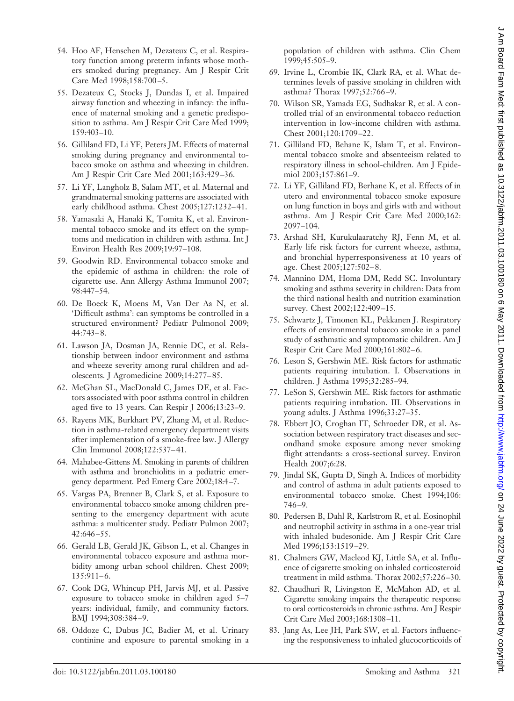- 54. Hoo AF, Henschen M, Dezateux C, et al. Respiratory function among preterm infants whose mothers smoked during pregnancy. Am J Respir Crit Care Med 1998;158:700 –5.
- 55. Dezateux C, Stocks J, Dundas I, et al. Impaired airway function and wheezing in infancy: the influence of maternal smoking and a genetic predisposition to asthma. Am J Respir Crit Care Med 1999; 159:403–10.
- 56. Gilliland FD, Li YF, Peters JM. Effects of maternal smoking during pregnancy and environmental tobacco smoke on asthma and wheezing in children. Am J Respir Crit Care Med 2001;163:429 –36.
- 57. Li YF, Langholz B, Salam MT, et al. Maternal and grandmaternal smoking patterns are associated with early childhood asthma. Chest 2005;127:1232-41.
- 58. Yamasaki A, Hanaki K, Tomita K, et al. Environmental tobacco smoke and its effect on the symptoms and medication in children with asthma. Int J Environ Health Res 2009;19:97–108.
- 59. Goodwin RD. Environmental tobacco smoke and the epidemic of asthma in children: the role of cigarette use. Ann Allergy Asthma Immunol 2007; 98:447–54.
- 60. De Boeck K, Moens M, Van Der Aa N, et al. 'Difficult asthma': can symptoms be controlled in a structured environment? Pediatr Pulmonol 2009; 44:743– 8.
- 61. Lawson JA, Dosman JA, Rennie DC, et al. Relationship between indoor environment and asthma and wheeze severity among rural children and adolescents. J Agromedicine 2009;14:277– 85.
- 62. McGhan SL, MacDonald C, James DE, et al. Factors associated with poor asthma control in children aged five to 13 years. Can Respir J 2006;13:23–9.
- 63. Rayens MK, Burkhart PV, Zhang M, et al. Reduction in asthma-related emergency department visits after implementation of a smoke-free law. J Allergy Clin Immunol 2008;122:537– 41.
- 64. Mahabee-Gittens M. Smoking in parents of children with asthma and bronchiolitis in a pediatric emergency department. Ped Emerg Care 2002;18:4 –7.
- 65. Vargas PA, Brenner B, Clark S, et al. Exposure to environmental tobacco smoke among children presenting to the emergency department with acute asthma: a multicenter study. Pediatr Pulmon 2007; 42:646 –55.
- 66. Gerald LB, Gerald JK, Gibson L, et al. Changes in environmental tobacco exposure and asthma morbidity among urban school children. Chest 2009;  $135:911-6.$
- 67. Cook DG, Whincup PH, Jarvis MJ, et al. Passive exposure to tobacco smoke in children aged 5–7 years: individual, family, and community factors. BMJ 1994;308:384 –9.
- 68. Oddoze C, Dubus JC, Badier M, et al. Urinary continine and exposure to parental smoking in a

population of children with asthma. Clin Chem 1999;45:505–9.

- 69. Irvine L, Crombie IK, Clark RA, et al. What determines levels of passive smoking in children with asthma? Thorax 1997;52:766 –9.
- 70. Wilson SR, Yamada EG, Sudhakar R, et al. A controlled trial of an environmental tobacco reduction intervention in low-income children with asthma. Chest 2001;120:1709 –22.
- 71. Gilliland FD, Behane K, Islam T, et al. Environmental tobacco smoke and absenteeism related to respiratory illness in school-children. Am J Epidemiol 2003;157:861–9.
- 72. Li YF, Gilliland FD, Berhane K, et al. Effects of in utero and environmental tobacco smoke exposure on lung function in boys and girls with and without asthma. Am J Respir Crit Care Med 2000;162: 2097–104.
- 73. Arshad SH, Kurukulaaratchy RJ, Fenn M, et al. Early life risk factors for current wheeze, asthma, and bronchial hyperresponsiveness at 10 years of age. Chest 2005;127:502– 8.
- 74. Mannino DM, Homa DM, Redd SC. Involuntary smoking and asthma severity in children: Data from the third national health and nutrition examination survey. Chest 2002;122:409-15.
- 75. Schwartz J, Timonen KL, Pekkanen J. Respiratory effects of environmental tobacco smoke in a panel study of asthmatic and symptomatic children. Am J Respir Crit Care Med 2000;161:802-6.
- 76. Leson S, Gershwin ME. Risk factors for asthmatic patients requiring intubation. I. Observations in children. J Asthma 1995;32:285–94.
- 77. LeSon S, Gershwin ME. Risk factors for asthmatic patients requiring intubation. III. Observations in young adults. J Asthma 1996;33:27–35.
- 78. Ebbert JO, Croghan IT, Schroeder DR, et al. Association between respiratory tract diseases and secondhand smoke exposure among never smoking flight attendants: a cross-sectional survey. Environ Health 2007;6:28.
- 79. Jindal SK, Gupta D, Singh A. Indices of morbidity and control of asthma in adult patients exposed to environmental tobacco smoke. Chest 1994;106: 746 –9.
- 80. Pedersen B, Dahl R, Karlstrom R, et al. Eosinophil and neutrophil activity in asthma in a one-year trial with inhaled budesonide. Am J Respir Crit Care Med 1996;153:1519 –29.
- 81. Chalmers GW, Macleod KJ, Little SA, et al. Influence of cigarette smoking on inhaled corticosteroid treatment in mild asthma. Thorax 2002;57:226 –30.
- 82. Chaudhuri R, Livingston E, McMahon AD, et al. Cigarette smoking impairs the therapeutic response to oral corticosteroids in chronic asthma. Am J Respir Crit Care Med 2003;168:1308 –11.
- 83. Jang As, Lee JH, Park SW, et al. Factors influencing the responsiveness to inhaled glucocorticoids of